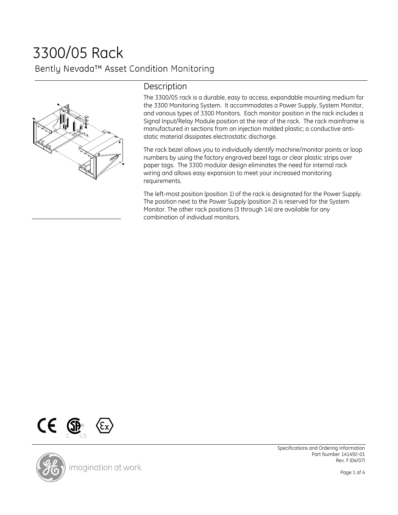# 3300/05 Rack Bently Nevada™ Asset Condition Monitoring



## Description

The 3300/05 rack is a durable, easy to access, expandable mounting medium for the 3300 Monitoring System. It accommodates a Power Supply, System Monitor, and various types of 3300 Monitors. Each monitor position in the rack includes a Signal Input/Relay Module position at the rear of the rack. The rack mainframe is manufactured in sections from an injection molded plastic; a conductive antistatic material dissipates electrostatic discharge.

The rack bezel allows you to individually identify machine/monitor points or loop numbers by using the factory engraved bezel tags or clear plastic strips over paper tags. The 3300 modular design eliminates the need for internal rack wiring and allows easy expansion to meet your increased monitoring requirements.

The left-most position (position 1) of the rack is designated for the Power Supply. The position next to the Power Supply (position 2) is reserved for the System Monitor. The other rack positions (3 through 14) are available for any combination of individual monitors.





Specifications and Ordering Information Part Number 141492-01 Rev. F (04/07)

Page 1 of 4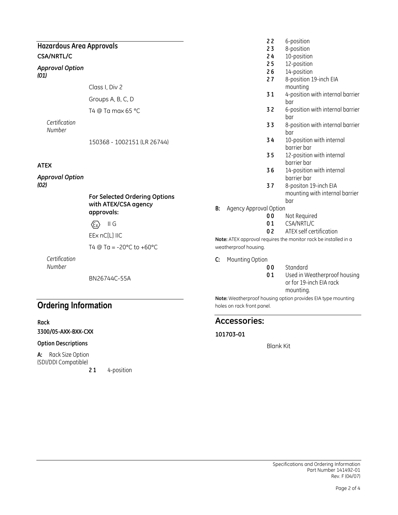### Hazardous Area Approvals CSA/NRTL/C

#### Approval Option (01)

Class I, Div 2

Groups A, B, C, D

T4 @ Ta max 65 °C

**Certification** Number

150368 - 1002151 (LR 26744)

### ATEX

Approval Option (02)

#### For Selected Ordering Options with ATEX/CSA agency approvals:

 $\langle \overline{\epsilon_{x}} \rangle$  II G

EEx nC[L] IIC

T4  $@$  Ta = -20 $°C$  to +60 $°C$ 

**Certification** Number

BN26744C-55A

## Ordering Information

Rack

3300/05-AXX-BXX-CXX

### Option Descriptions

A: Rack Size Option (SDI/DDI Compatible)

21 4-position

- 22 6-position
- 23 8-position
- 24 10-position
- 25 12-position
- 26 14-position
- 27 8-position 19-inch EIA mounting
- 31 4-position with internal barrier bar
- 32 6-position with internal barrier bar
- 33 8-position with internal barrier bar
- 3 4 10-position with internal barrier bar
- 3 5 12-position with internal barrier bar
- 3 6 14-position with internal barrier bar
- 37 8-positon 19-inch EIA mounting with internal barrier bar
- B: Agency Approval Option
	- 00 Not Required
	- 01 CSA/NRTL/C
	- 02 ATEX self certification

Note: ATEX approval requires the monitor rack be installed in a weatherproof housing.

- C: Mounting Option
	- 00 Standard
		- 01 Used in Weatherproof housing or for 19-inch EIA rack mounting.

Note: Weatherproof housing option provides EIA type mounting holes on rack front panel.

### Accessories:

### 101703-01

Blank Kit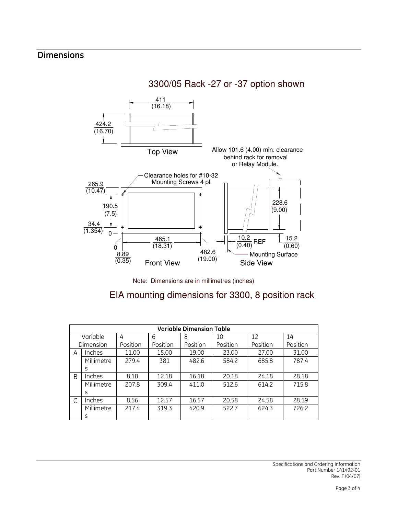# Dimensions

3300/05 Rack -27 or -37 option shown



Note: Dimensions are in millimetres (inches)

EIA mounting dimensions for 3300, 8 position rack

| <b>Variable Dimension Table</b> |               |          |          |          |          |          |          |
|---------------------------------|---------------|----------|----------|----------|----------|----------|----------|
| Variable                        |               | 4        | 6        | 8        | 10       | 12       | 14       |
| Dimension                       |               | Position | Position | Position | Position | Position | Position |
| A                               | Inches        | 11.00    | 15.00    | 19.00    | 23.00    | 27.00    | 31.00    |
|                                 | Millimetre    | 279.4    | 381      | 482.6    | 584.2    | 685.8    | 787.4    |
|                                 | S             |          |          |          |          |          |          |
| B                               | <b>Inches</b> | 8.18     | 12.18    | 16.18    | 20.18    | 24.18    | 28.18    |
|                                 | Millimetre    | 207.8    | 309.4    | 411.0    | 512.6    | 614.2    | 715.8    |
|                                 | S             |          |          |          |          |          |          |
| C                               | <i>Inches</i> | 8.56     | 12.57    | 16.57    | 20.58    | 24.58    | 28.59    |
|                                 | Millimetre    | 217.4    | 319.3    | 420.9    | 522.7    | 624.3    | 726.2    |
|                                 | S             |          |          |          |          |          |          |